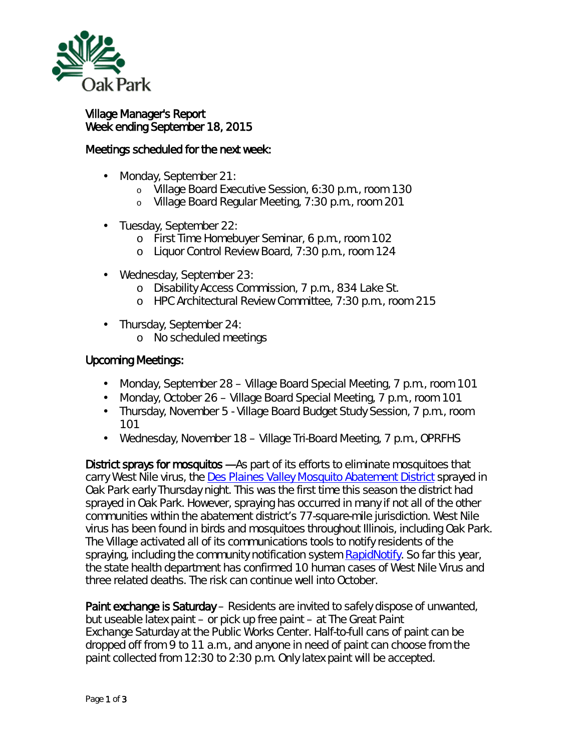

## Village Manager's Report Week ending September 18, 2015

## Meetings scheduled for the next week:

- Monday, September 21: ä,
	- o Village Board Executive Session, 6:30 p.m., room 130
	- o Village Board Regular Meeting, 7:30 p.m., room 201
- Tuesday, September 22: ä,
	- o First Time Homebuyer Seminar, 6 p.m., room 102
	- o Liquor Control Review Board, 7:30 p.m., room 124
- Wednesday, September 23: ä,
	- o Disability Access Commission, 7 p.m., 834 Lake St.
	- o HPC Architectural Review Committee, 7:30 p.m., room 215
- Thursday, September 24:
	- o No scheduled meetings

## Upcoming Meetings:

- $\mathcal{L}^{\text{max}}$ Monday, September 28 – Village Board Special Meeting, 7 p.m., room 101
- Monday, October 26 Village Board Special Meeting, 7 p.m., room 101
- Thursday, November 5 Village Board Budget Study Session, 7 p.m., room 101
- $\mathbf{r}$ Wednesday, November 18 – Village Tri-Board Meeting, 7 p.m., OPRFHS

District sprays for mosquitos - As part of its efforts to eliminate mosquitoes that carry West Nile virus, the [Des Plaines Valley Mosquito Abatement District](http://r20.rs6.net/tn.jsp?e=0015IiYuWh8zeZsJ5QowrQEXkjjFRhaRI82Ug_tSxxvfSGgs_e6rqhs1DX4U6k6nlRr8cWR7Z8nKcbsHjym7I3B_v0_ogKzXjg4Mw3wbyvVvCDkBPCzza5C7rrskFvbIoe6) sprayed in Oak Park early Thursday night. This was the first time this season the district had sprayed in Oak Park. However, spraying has occurred in many if not all of the other communities within the abatement district's 77-square-mile jurisdiction. West Nile virus has been found in birds and mosquitoes throughout Illinois, including Oak Park. The Village activated all of its communications tools to notify residents of the spraying, including the community notification system **RapidNotify**. So far this year, the state health department has confirmed 10 human cases of West Nile Virus and three related deaths. The risk can continue well into October.

Paint exchange is Saturday – Residents are invited to safely dispose of unwanted, but useable latex paint – or pick up free paint – at *The Great Paint Exchange* Saturday at the Public Works Center. Half-to-full cans of paint can be dropped off from 9 to 11 a.m., and anyone in need of paint can choose from the paint collected from 12:30 to 2:30 p.m. Only latex paint will be accepted.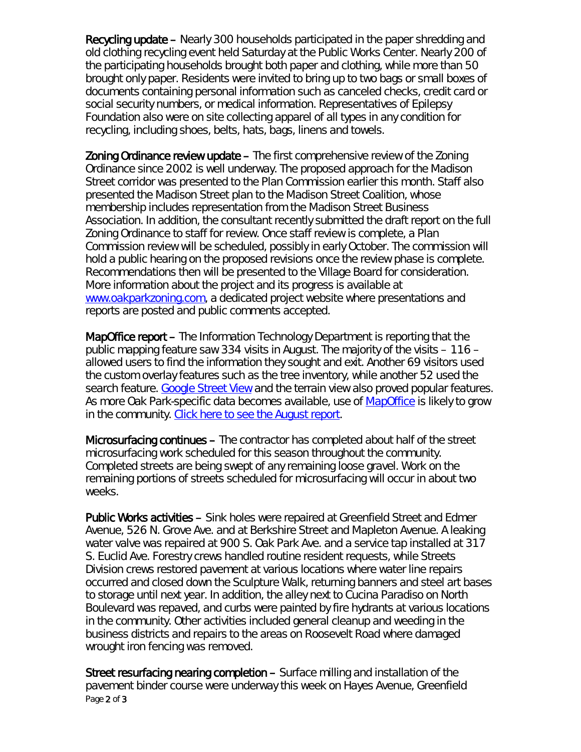Recycling update – Nearly 300 households participated in the paper shredding and old clothing recycling event held Saturday at the Public Works Center. Nearly 200 of the participating households brought both paper and clothing, while more than 50 brought only paper. Residents were invited to bring up to two bags or small boxes of documents containing personal information such as canceled checks, credit card or social security numbers, or medical information. Representatives of Epilepsy Foundation also were on site collecting apparel of all types in any condition for recycling, including shoes, belts, hats, bags, linens and towels.

**Zoning Ordinance review update –** The first comprehensive review of the Zoning Ordinance since 2002 is well underway. The proposed approach for the Madison Street corridor was presented to the Plan Commission earlier this month. Staff also presented the Madison Street plan to the Madison Street Coalition, whose membership includes representation from the Madison Street Business Association. In addition, the consultant recently submitted the draft report on the full Zoning Ordinance to staff for review. Once staff review is complete, a Plan Commission review will be scheduled, possibly in early October. The commission will hold a public hearing on the proposed revisions once the review phase is complete. Recommendations then will be presented to the Village Board for consideration. More information about the project and its progress is available at [www.oakparkzoning.com,](http://oakparkzoning.com/) a dedicated project website where presentations and reports are posted and public comments accepted.

MapOffice report – The Information Technology Department is reporting that the public mapping feature saw 334 visits in August. The majority of the visits – 116 – allowed users to find the information they sought and exit. Another 69 visitors used the custom overlay features such as the tree inventory, while another 52 used the search feature. [Google Street View](http://www.google.com/maps/streetview/) and the terrain view also proved popular features. As more Oak Park-specific data becomes available, use of [MapOffice](http://public.gisconsortium.org/solutions/technology/) is likely to grow in the community. [Click here to see the August report.](http://www.oak-park.us/sites/default/files/456678891/2015-08-mapoffice-unique-use-cases-report.pdf)

Microsurfacing continues – The contractor has completed about half of the street microsurfacing work scheduled for this season throughout the community. Completed streets are being swept of any remaining loose gravel. Work on the remaining portions of streets scheduled for microsurfacing will occur in about two weeks.

Public Works activities – Sink holes were repaired at Greenfield Street and Edmer Avenue, 526 N. Grove Ave. and at Berkshire Street and Mapleton Avenue. A leaking water valve was repaired at 900 S. Oak Park Ave. and a service tap installed at 317 S. Euclid Ave. Forestry crews handled routine resident requests, while Streets Division crews restored pavement at various locations where water line repairs occurred and closed down the Sculpture Walk, returning banners and steel art bases to storage until next year. In addition, the alley next to Cucina Paradiso on North Boulevard was repaved, and curbs were painted by fire hydrants at various locations in the community. Other activities included general cleanup and weeding in the business districts and repairs to the areas on Roosevelt Road where damaged wrought iron fencing was removed.

Page 2 of 3 Street resurfacing nearing completion – Surface milling and installation of the pavement binder course were underway this week on Hayes Avenue, Greenfield